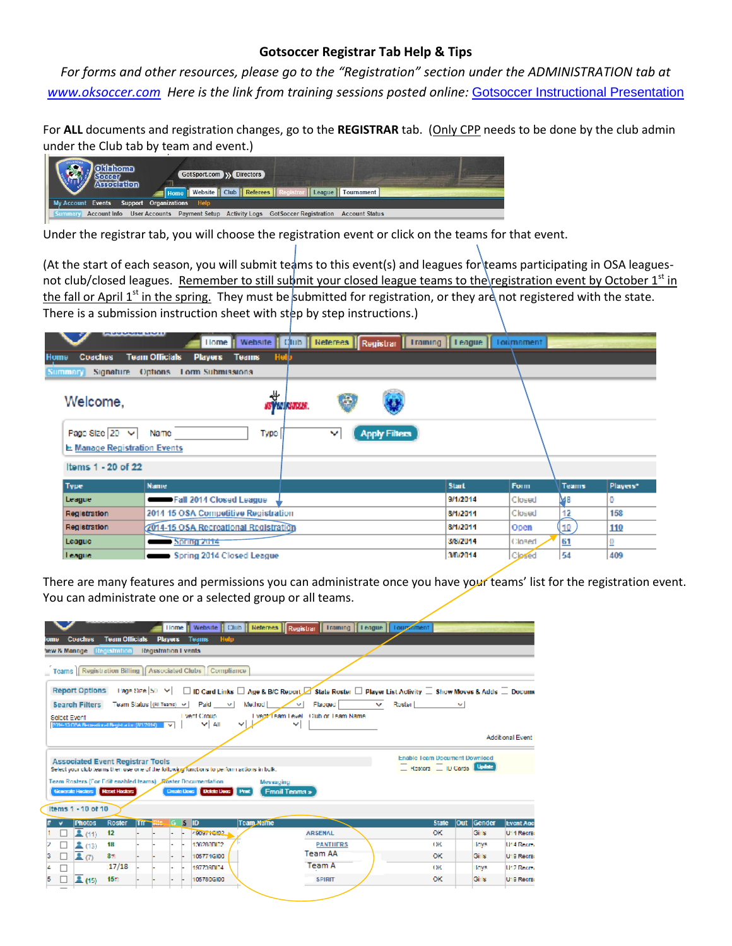## **Gotsoccer Registrar Tab Help & Tips**

*For forms and other resources, please go to the "Registration" section under the ADMINISTRATION tab at [www.oksoccer.com](http://www.oksoccer.com/) Here is the link from training sessions posted online:* [Gotsoccer Instructional Presentation](http://www.oksoccer.com/assets/pdfs/Gotsoccer_OK_club_training_presentation.pdf)

For **ALL** documents and registration changes, go to the **REGISTRAR** tab. (Only CPP needs to be done by the club admin under the Club tab by team and event.)

| <b>Odehoma</b>                               | GotSport.com W Directors<br>Home Website   Club   Referees   Registrar   League   Tournament |  |
|----------------------------------------------|----------------------------------------------------------------------------------------------|--|
| My Account Events Support Organizations Help |                                                                                              |  |
| <b>Summary</b>                               | Account Info User Accounts Payment Setup Activity Logs GotSoccer Registration Account Status |  |

Under the registrar tab, you will choose the registration event or click on the teams for that event.

(At the start of each season, you will submit teams to this event(s) and leagues for teams participating in OSA leaguesnot club/closed leagues. Remember to still submit your closed league teams to the registration event by October 1<sup>st</sup> in the fall or April 1<sup>st</sup> in the spring. They must be submitted for registration, or they are not registered with the state. There is a submission instruction sheet with step by step instructions.)

| <b><i><u><b>BARMARMENTILE</b></u></i></b>              | <b>Home</b>                                             |                         |    |                      | Website   Club   Referees   Registrar   Training   League   Toilmament |        |              |                |
|--------------------------------------------------------|---------------------------------------------------------|-------------------------|----|----------------------|------------------------------------------------------------------------|--------|--------------|----------------|
| <b>Home</b><br><b>Coaches</b>                          | <b>Team Officials</b><br><b>Players</b><br><b>Teams</b> | Help                    |    |                      |                                                                        |        |              |                |
| Summary<br>Signature                                   | Options.<br>Lorm Submissions                            |                         |    |                      |                                                                        |        |              |                |
| Welcome,                                               | ₩                                                       | <b>ASY AN ASSOCIA</b> . | G. |                      |                                                                        |        |              |                |
| Page Size 20 V<br><b>Et Manage Registration Events</b> | Type  <br>Name                                          |                         | v  | <b>Apply Filters</b> |                                                                        |        |              |                |
| Items 1 - 20 of 22                                     |                                                         |                         |    |                      |                                                                        |        |              |                |
| Type                                                   | <b>Name</b>                                             |                         |    |                      | <b>Start</b>                                                           | Form   | <b>Teams</b> | Players*       |
| League                                                 | Fall 2014 Closed League                                 |                         |    |                      | 9/1/2014                                                               | Closed | MB           | 0              |
| Regletration                                           | 2014 15 OSA Competitive Registration                    |                         |    |                      | 8/1/2011                                                               | Closed | 12           | 158            |
| Registration                                           | 2014-15 OSA Recreational Registration                   |                         |    |                      | 8/1/2014                                                               | Open   | QL)          | 110            |
| League                                                 | Spring 2014                                             |                         |    |                      | 3/8/2014                                                               | Closed | 61           | $\overline{0}$ |
| <b>League</b>                                          | Spring 2014 Closed League                               |                         |    |                      | 3/B/2014                                                               | Closed | 54           | 409            |

There are many features and permissions you can administrate once you have your teams' list for the registration event. You can administrate one or a selected group or all teams.

|   |              | Coaches<br>tew & Manage Registration                                                             | <b>Team Officials</b> | Registration Lyents | <b>Home</b><br><b>Players</b> |      | Help<br>Teams                                                                                                                                                                   | Website   Club   Referees   Registrar   Training   League   Louzzament                                                                                                                                                                      |                                                              |                      |                         |
|---|--------------|--------------------------------------------------------------------------------------------------|-----------------------|---------------------|-------------------------------|------|---------------------------------------------------------------------------------------------------------------------------------------------------------------------------------|---------------------------------------------------------------------------------------------------------------------------------------------------------------------------------------------------------------------------------------------|--------------------------------------------------------------|----------------------|-------------------------|
|   | Select Event | <b>Report Options</b>                                                                            |                       |                     |                               |      | Teams   Registration Billing   Associated Clubs   Compliance<br>Search Filters Team Status (Al Teams) v   Paid v  <br>Method<br>Livent Croup                                    | 1'age Size $ 50 - 9 $ = $\Box$ ID Card Links $\Box$ Age & B/C Report $\Box$ State Roster $\Box$ Player List Activity $\Box$ Show Moves & Adds $\Box$ Docume<br>Flagged  <br>$\sim$ 1<br>$\mathbf{v}$<br>I vept Team Level Club or Team Name | Roster Library Control                                       |                      |                         |
|   |              | 2014-15 OSA Recording di Registration (8/1/2014) 2021<br><b>Associated Event Registrar Tools</b> |                       |                     |                               |      | Y All<br>Select your club learns then use one of the following functions to perform actions in bulk.<br>Team Rosters (For Edit enabled teams) Koster Documentation<br>Messaging | v                                                                                                                                                                                                                                           | Enable Team Document Download<br>Kosters   ID Cards   Update |                      | <b>Additional Event</b> |
|   |              | Governie Hosters III Reset Hosters<br>Items 1 - 10 of 10<br><b>Photos</b>                        | Roster                | Tfr <sup>R</sup>    | Create Dogs<br>lG.            | . IS | <b>Pret</b><br><b>Delete Doos</b><br><b>Team Mame</b><br>IID.                                                                                                                   | <b>Front Tenms »</b>                                                                                                                                                                                                                        | <b>State</b>                                                 | Gender<br><b>Out</b> | <b>Event Age</b>        |
|   |              | 2(11)                                                                                            | 12                    |                     |                               |      | 490971GI02.1                                                                                                                                                                    | <b>ARSENAL</b>                                                                                                                                                                                                                              | οк                                                           | Girls                | U14 Recre:              |
|   |              | 2(13)                                                                                            | 18                    |                     |                               |      | 136280BI02                                                                                                                                                                      | <b>PANTIIFRS</b>                                                                                                                                                                                                                            | OK                                                           | <b>LOVE</b>          | U14 Rooms               |
| з |              | 2(7)                                                                                             | 3 <sub>7</sub>        |                     |                               |      | 105774G100                                                                                                                                                                      | <b>Team AA</b>                                                                                                                                                                                                                              | <b>OK</b>                                                    | Girls                | U19 Recra:              |
|   |              |                                                                                                  | 17/18                 |                     |                               |      | 197739004                                                                                                                                                                       | Team A                                                                                                                                                                                                                                      | OK                                                           | <b>LOVE</b>          | LPD Rooms               |
|   |              | 2(15)                                                                                            | 15 <sub>z</sub>       |                     |                               |      | 1057806100                                                                                                                                                                      | <b>SPIRIT</b>                                                                                                                                                                                                                               | ок                                                           | Girls                | U19 Recrea              |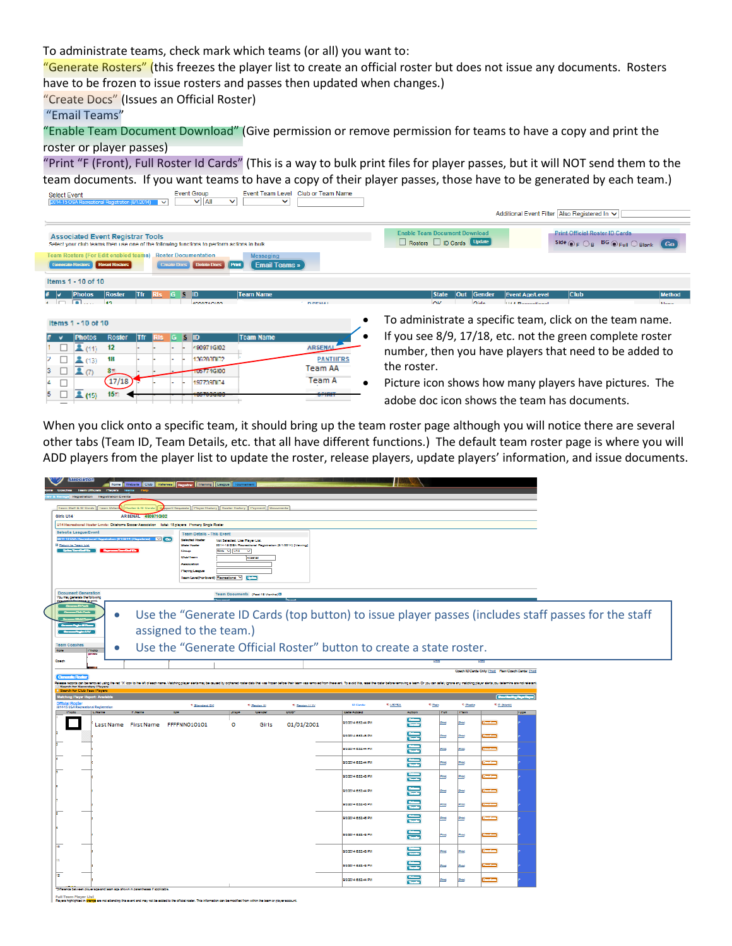To administrate teams, check mark which teams (or all) you want to:

"Generate Rosters" (this freezes the player list to create an official roster but does not issue any documents. Rosters have to be frozen to issue rosters and passes then updated when changes.)

"Create Docs" (Issues an Official Roster)

"Email Teams"

"Enable Team Document Download" (Give permission or remove permission for teams to have a copy and print the roster or player passes)

"Print "F (Front), Full Roster Id Cards" (This is a way to bulk print files for player passes, but it will NOT send them to the team documents. If you want teams to have a copy of their player passes, those have to be generated by each team.)<br>Select Event Team (Supper Team Name Level Club or Team Name Level Club or Team Name Level Club or Team Name



When you click onto a specific team, it should bring up the team roster page although you will notice there are several other tabs (Team ID, Team Details, etc. that all have different functions.) The default team roster page is where you will ADD players from the player list to update the roster, release players, update players' information, and issue documents.

|                                                                                 |                |                      | Home   Website   Club   Reference   Registrar   Training   Leugue   Tourna                              |                               |                                                            |                              |                                                                                                                                                                                                                                |                |                |              |                                                         |             |                                                                                                     |  |
|---------------------------------------------------------------------------------|----------------|----------------------|---------------------------------------------------------------------------------------------------------|-------------------------------|------------------------------------------------------------|------------------------------|--------------------------------------------------------------------------------------------------------------------------------------------------------------------------------------------------------------------------------|----------------|----------------|--------------|---------------------------------------------------------|-------------|-----------------------------------------------------------------------------------------------------|--|
| Registration Registration Events                                                | <b>Thysene</b> |                      |                                                                                                         |                               |                                                            |                              |                                                                                                                                                                                                                                |                |                |              |                                                         |             |                                                                                                     |  |
| Team Staff & ID Carda   Team Detail                                             |                | lowter & ID Carda    | ort Requests   Player History   Roster History   Payment   Documents                                    |                               |                                                            |                              |                                                                                                                                                                                                                                |                |                |              |                                                         |             |                                                                                                     |  |
| Girls U14                                                                       |                | ARSENAL 480871GI02   |                                                                                                         |                               |                                                            |                              |                                                                                                                                                                                                                                |                |                |              |                                                         |             |                                                                                                     |  |
| Select a League/Event                                                           |                |                      | U14 Recreational Roster Limita: Oklahoma Soccer Association   Total: 15 players   Primary Single Roster |                               |                                                            |                              |                                                                                                                                                                                                                                |                |                |              |                                                         |             |                                                                                                     |  |
| 2014-15 05A16                                                                   |                |                      | <b>Team Details - This Event</b><br><b>M</b> Go<br>Selected Route                                       | Not Selected, Use Player Ltd. |                                                            |                              |                                                                                                                                                                                                                                |                |                |              |                                                         |             |                                                                                                     |  |
| <b>E Return to Team Ust</b><br><b>Uplas Territor De</b>                         |                |                      | State Hoster<br>Croup                                                                                   | Girls V U14 V                 | 2014-15 OSA Recreational Registration (5/1/2014) [Viewing] |                              |                                                                                                                                                                                                                                |                |                |              |                                                         |             |                                                                                                     |  |
|                                                                                 |                |                      | <b>Clubilleum</b><br>Association                                                                        |                               | Arsenal                                                    |                              |                                                                                                                                                                                                                                |                |                |              |                                                         |             |                                                                                                     |  |
|                                                                                 |                |                      | <b>Playing Langua</b>                                                                                   |                               |                                                            |                              |                                                                                                                                                                                                                                |                |                |              |                                                         |             |                                                                                                     |  |
|                                                                                 |                |                      | learn Level (For Event)   Recreational V   11-11-1                                                      |                               |                                                            |                              |                                                                                                                                                                                                                                |                |                |              |                                                         |             |                                                                                                     |  |
| <b>Document Generation</b><br>You may generate the following                    |                |                      |                                                                                                         |                               | Team Documents (Past 15 Months) D                          |                              |                                                                                                                                                                                                                                |                |                |              |                                                         |             |                                                                                                     |  |
| <b>Search Scient</b>                                                            |                |                      |                                                                                                         |                               |                                                            |                              |                                                                                                                                                                                                                                |                |                |              |                                                         |             |                                                                                                     |  |
|                                                                                 | $\bullet$      |                      |                                                                                                         |                               |                                                            |                              |                                                                                                                                                                                                                                |                |                |              |                                                         |             | Use the "Generate ID Cards (top button) to issue player passes (includes staff passes for the staff |  |
|                                                                                 |                |                      | assigned to the team.)                                                                                  |                               |                                                            |                              |                                                                                                                                                                                                                                |                |                |              |                                                         |             |                                                                                                     |  |
| <b>Team Coscher</b>                                                             |                |                      |                                                                                                         |                               |                                                            |                              | Use the "Generate Official Roster" button to create a state roster.                                                                                                                                                            |                |                |              |                                                         |             |                                                                                                     |  |
| <b>Hole</b><br><b>Photo</b>                                                     |                |                      |                                                                                                         |                               |                                                            |                              |                                                                                                                                                                                                                                |                |                |              |                                                         |             |                                                                                                     |  |
| Conch                                                                           |                |                      |                                                                                                         |                               |                                                            |                              |                                                                                                                                                                                                                                |                |                |              |                                                         |             |                                                                                                     |  |
|                                                                                 |                |                      |                                                                                                         |                               |                                                            |                              |                                                                                                                                                                                                                                |                |                |              | Couch ID Cards Only: [fred.   Plain Couch Cardia: [fred |             |                                                                                                     |  |
| Search for Secondary Players<br>rch for Club Pass Players                       |                |                      |                                                                                                         |                               |                                                            |                              | Release records can be reround using the ed "X" icon to the left of each name. Maiching claver aleria may be caused by orchaned roate case cals that was from thelper bent learn na nerround from the event. To avoid this, re |                |                |              |                                                         |             |                                                                                                     |  |
| Official Rocter                                                                 |                |                      |                                                                                                         |                               |                                                            |                              | <b>ID Carda</b>                                                                                                                                                                                                                | * USYSA        |                | * Plastic    |                                                         |             |                                                                                                     |  |
| 2011-15 OSA Recreational Registration<br>Photo<br><b>L.Name</b>                 |                |                      | * Standard CK<br><b>DA</b>                                                                              | <b>June</b>                   | * Region III<br>Cender                                     | * Region L/ IV<br><b>DOR</b> | <b>Date Added</b>                                                                                                                                                                                                              | Action         | * Pain<br>Full | Plain        | * P. (blank)                                            | <b>Lype</b> |                                                                                                     |  |
|                                                                                 |                | Last Name First Name | FFFFNN010101                                                                                            | ٥                             | Girls                                                      | 01/01/2001                   | 9/3/2014 0:52:44 PM                                                                                                                                                                                                            | $\overline{1}$ | Print          | <b>Print</b> |                                                         |             |                                                                                                     |  |
|                                                                                 |                |                      |                                                                                                         |                               |                                                            |                              | 3/3/2014 0:52:45 PM                                                                                                                                                                                                            |                | Print          | Print        |                                                         |             |                                                                                                     |  |
|                                                                                 |                |                      |                                                                                                         |                               |                                                            |                              | 9/3/2014 0:52:44 PM                                                                                                                                                                                                            | <b>Target</b>  | <b>Print</b>   | <b>Print</b> |                                                         |             |                                                                                                     |  |
|                                                                                 |                |                      |                                                                                                         |                               |                                                            |                              | 9/3/2014 6:52:44 PM                                                                                                                                                                                                            | ₩              | Print          | Print        |                                                         |             |                                                                                                     |  |
|                                                                                 |                |                      |                                                                                                         |                               |                                                            |                              | 8/3/2014 0.53 45 PM                                                                                                                                                                                                            | ₩              | Print          | <b>Print</b> |                                                         |             |                                                                                                     |  |
|                                                                                 |                |                      |                                                                                                         |                               |                                                            |                              | 9/3/2014 6:53:44 PM                                                                                                                                                                                                            | ₩              | Print          | Print        |                                                         |             |                                                                                                     |  |
|                                                                                 |                |                      |                                                                                                         |                               |                                                            |                              | 9/3/2014 0:52:45 PM                                                                                                                                                                                                            | ₩              | Print          | Print        |                                                         |             |                                                                                                     |  |
|                                                                                 |                |                      |                                                                                                         |                               |                                                            |                              | 0/3/2014 0:52:40 PM                                                                                                                                                                                                            | ₩              | Print          | Print        |                                                         |             |                                                                                                     |  |
|                                                                                 |                |                      |                                                                                                         |                               |                                                            |                              |                                                                                                                                                                                                                                | ₩              |                |              |                                                         |             |                                                                                                     |  |
|                                                                                 |                |                      |                                                                                                         |                               |                                                            |                              | 03/2014 03/24/3 PM                                                                                                                                                                                                             |                | Print          | Print        |                                                         |             |                                                                                                     |  |
|                                                                                 |                |                      |                                                                                                         |                               |                                                            |                              | 00/2014 03245 PM                                                                                                                                                                                                               | ₩              | Print          | <b>Etips</b> |                                                         |             |                                                                                                     |  |
|                                                                                 |                |                      |                                                                                                         |                               |                                                            |                              | 03/2014 03/245 PM                                                                                                                                                                                                              | ₩              | Print          | Print        |                                                         |             |                                                                                                     |  |
| $\overline{12}$                                                                 |                |                      |                                                                                                         |                               |                                                            |                              | 9/3/2014 0:53:44 PM                                                                                                                                                                                                            | 景              | <b>Print</b>   | Print        |                                                         |             |                                                                                                     |  |
| "Diference between player age and learn age shown in parentheses if applicable. |                |                      |                                                                                                         |                               |                                                            |                              |                                                                                                                                                                                                                                |                |                |              |                                                         |             |                                                                                                     |  |
| Full Team Player List                                                           |                |                      |                                                                                                         |                               |                                                            |                              |                                                                                                                                                                                                                                |                |                |              |                                                         |             |                                                                                                     |  |